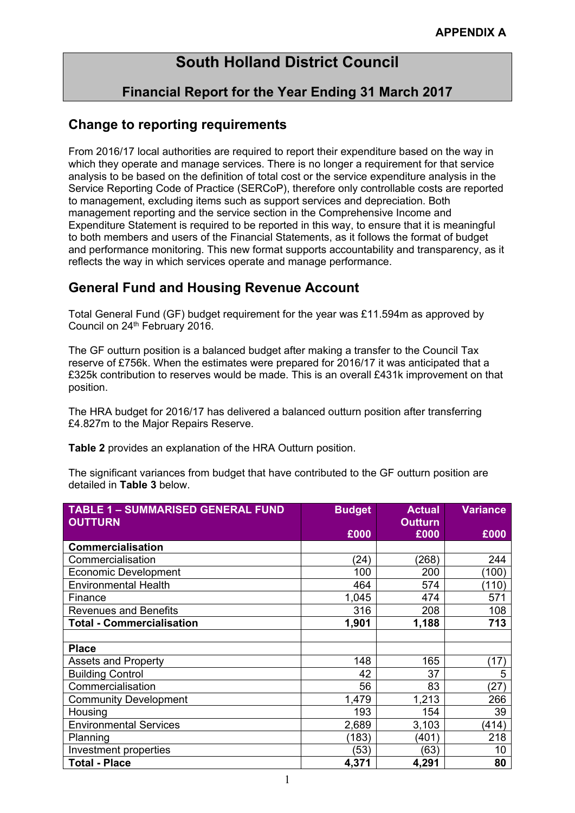## **South Holland District Council**

## **Financial Report for the Year Ending 31 March 2017**

#### **Change to reporting requirements**

From 2016/17 local authorities are required to report their expenditure based on the way in which they operate and manage services. There is no longer a requirement for that service analysis to be based on the definition of total cost or the service expenditure analysis in the Service Reporting Code of Practice (SERCoP), therefore only controllable costs are reported to management, excluding items such as support services and depreciation. Both management reporting and the service section in the Comprehensive Income and Expenditure Statement is required to be reported in this way, to ensure that it is meaningful to both members and users of the Financial Statements, as it follows the format of budget and performance monitoring. This new format supports accountability and transparency, as it reflects the way in which services operate and manage performance.

### **General Fund and Housing Revenue Account**

Total General Fund (GF) budget requirement for the year was £11.594m as approved by Council on 24<sup>th</sup> February 2016.

The GF outturn position is a balanced budget after making a transfer to the Council Tax reserve of £756k. When the estimates were prepared for 2016/17 it was anticipated that a £325k contribution to reserves would be made. This is an overall £431k improvement on that position.

The HRA budget for 2016/17 has delivered a balanced outturn position after transferring £4.827m to the Major Repairs Reserve.

**Table 2** provides an explanation of the HRA Outturn position.

The significant variances from budget that have contributed to the GF outturn position are detailed in **Table 3** below.

| <b>TABLE 1 - SUMMARISED GENERAL FUND</b><br><b>OUTTURN</b> | <b>Budget</b> | <b>Actual</b><br><b>Outturn</b> | <b>Variance</b> |
|------------------------------------------------------------|---------------|---------------------------------|-----------------|
|                                                            | £000          | £000                            | £000            |
| <b>Commercialisation</b>                                   |               |                                 |                 |
| Commercialisation                                          | (24)          | (268)                           | 244             |
| <b>Economic Development</b>                                | 100           | 200                             | (100)           |
| <b>Environmental Health</b>                                | 464           | 574                             | (110)           |
| Finance                                                    | 1,045         | 474                             | 571             |
| <b>Revenues and Benefits</b>                               | 316           | 208                             | 108             |
| <b>Total - Commercialisation</b>                           | 1,901         | 1,188                           | 713             |
|                                                            |               |                                 |                 |
| <b>Place</b>                                               |               |                                 |                 |
| <b>Assets and Property</b>                                 | 148           | 165                             | (17)            |
| <b>Building Control</b>                                    | 42            | 37                              | 5               |
| Commercialisation                                          | 56            | 83                              | (27)            |
| <b>Community Development</b>                               | 1,479         | 1,213                           | 266             |
| Housing                                                    | 193           | 154                             | 39              |
| <b>Environmental Services</b>                              | 2,689         | 3,103                           | (414)           |
| Planning                                                   | (183)         | (401)                           | 218             |
| Investment properties                                      | (53)          | (63)                            | 10              |
| <b>Total - Place</b>                                       | 4,371         | 4,291                           | 80              |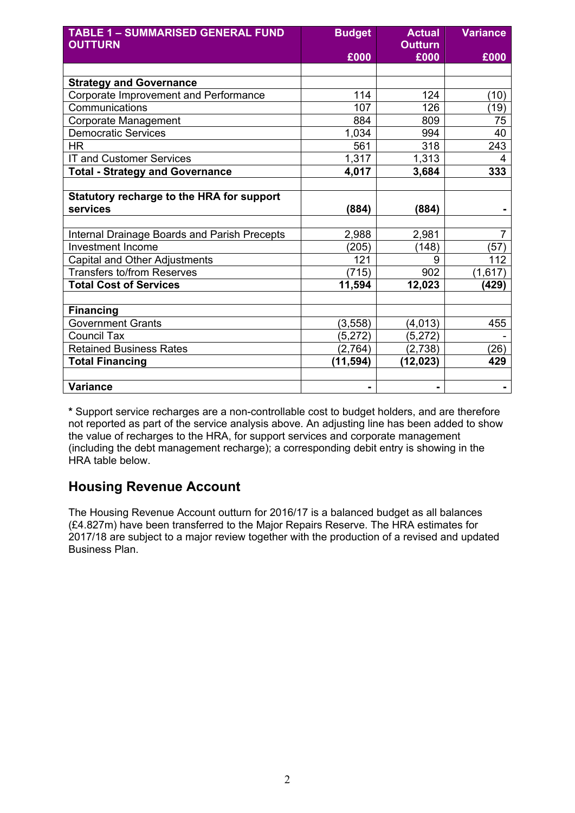| <b>TABLE 1 - SUMMARISED GENERAL FUND</b><br><b>OUTTURN</b> | <b>Budget</b> | <b>Actual</b><br><b>Outturn</b> | <b>Variance</b> |
|------------------------------------------------------------|---------------|---------------------------------|-----------------|
|                                                            | £000          | £000                            | £000            |
|                                                            |               |                                 |                 |
| <b>Strategy and Governance</b>                             |               |                                 |                 |
| Corporate Improvement and Performance                      | 114           | 124                             | (10)            |
| Communications                                             | 107           | 126                             | (19)            |
| Corporate Management                                       | 884           | 809                             | 75              |
| <b>Democratic Services</b>                                 | 1,034         | 994                             | 40              |
| <b>HR</b>                                                  | 561           | 318                             | 243             |
| <b>IT and Customer Services</b>                            | 1,317         | 1,313                           | 4               |
| <b>Total - Strategy and Governance</b>                     | 4,017         | 3,684                           | 333             |
|                                                            |               |                                 |                 |
| Statutory recharge to the HRA for support                  |               |                                 |                 |
| services                                                   | (884)         | (884)                           |                 |
|                                                            |               |                                 |                 |
| Internal Drainage Boards and Parish Precepts               | 2,988         | 2,981                           | $\overline{7}$  |
| <b>Investment Income</b>                                   | (205)         | (148)                           | (57)            |
| Capital and Other Adjustments                              | 121           | 9                               | 112             |
| <b>Transfers to/from Reserves</b>                          | (715)         | 902                             | (1,617)         |
| <b>Total Cost of Services</b>                              | 11,594        | 12,023                          | (429)           |
|                                                            |               |                                 |                 |
| <b>Financing</b>                                           |               |                                 |                 |
| <b>Government Grants</b>                                   | (3, 558)      | (4, 013)                        | 455             |
| <b>Council Tax</b>                                         | (5, 272)      | (5,272)                         |                 |
| <b>Retained Business Rates</b>                             | (2,764)       | (2,738)                         | (26)            |
| <b>Total Financing</b>                                     | (11,594)      | (12,023)                        | 429             |
|                                                            |               |                                 |                 |
| <b>Variance</b>                                            |               | -                               |                 |

**\*** Support service recharges are a non-controllable cost to budget holders, and are therefore not reported as part of the service analysis above. An adjusting line has been added to show the value of recharges to the HRA, for support services and corporate management (including the debt management recharge); a corresponding debit entry is showing in the HRA table below.

## **Housing Revenue Account**

The Housing Revenue Account outturn for 2016/17 is a balanced budget as all balances (£4.827m) have been transferred to the Major Repairs Reserve. The HRA estimates for 2017/18 are subject to a major review together with the production of a revised and updated Business Plan.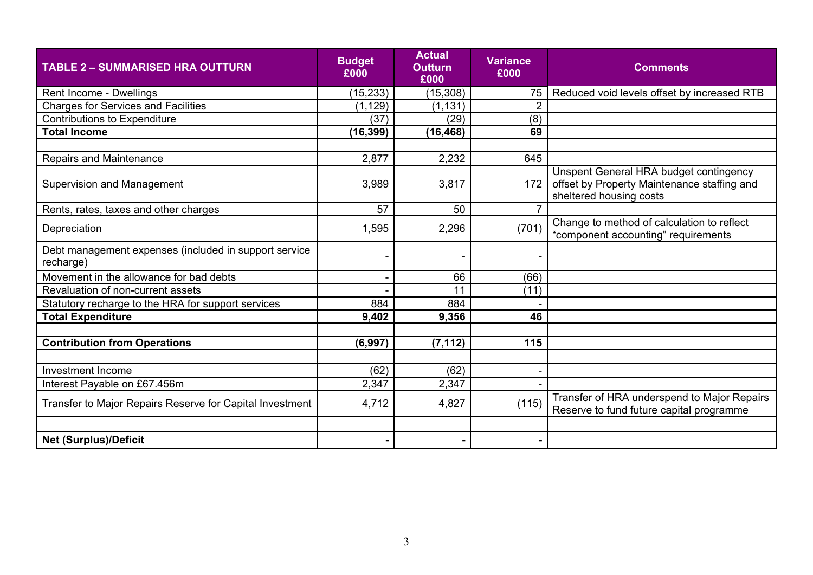| <b>TABLE 2 - SUMMARISED HRA OUTTURN</b>                            | <b>Budget</b><br>£000 | <b>Actual</b><br><b>Outturn</b><br>£000 | <b>Variance</b><br>£000 | <b>Comments</b>                                                                                                  |
|--------------------------------------------------------------------|-----------------------|-----------------------------------------|-------------------------|------------------------------------------------------------------------------------------------------------------|
| Rent Income - Dwellings                                            | (15, 233)             | (15, 308)                               | 75                      | Reduced void levels offset by increased RTB                                                                      |
| <b>Charges for Services and Facilities</b>                         | (1, 129)              | (1, 131)                                | $\overline{2}$          |                                                                                                                  |
| <b>Contributions to Expenditure</b>                                | (37)                  | (29)                                    | (8)                     |                                                                                                                  |
| <b>Total Income</b>                                                | (16, 399)             | (16, 468)                               | 69                      |                                                                                                                  |
|                                                                    |                       |                                         |                         |                                                                                                                  |
| Repairs and Maintenance                                            | 2,877                 | 2,232                                   | 645                     |                                                                                                                  |
| Supervision and Management                                         | 3,989                 | 3,817                                   | 172                     | Unspent General HRA budget contingency<br>offset by Property Maintenance staffing and<br>sheltered housing costs |
| Rents, rates, taxes and other charges                              | 57                    | 50                                      |                         |                                                                                                                  |
| Depreciation                                                       | 1,595                 | 2,296                                   | (701)                   | Change to method of calculation to reflect<br>"component accounting" requirements                                |
| Debt management expenses (included in support service<br>recharge) |                       |                                         |                         |                                                                                                                  |
| Movement in the allowance for bad debts                            |                       | 66                                      | (66)                    |                                                                                                                  |
| Revaluation of non-current assets                                  |                       | 11                                      | (11)                    |                                                                                                                  |
| Statutory recharge to the HRA for support services                 | 884                   | 884                                     |                         |                                                                                                                  |
| <b>Total Expenditure</b>                                           | 9,402                 | 9,356                                   | 46                      |                                                                                                                  |
|                                                                    |                       |                                         |                         |                                                                                                                  |
| <b>Contribution from Operations</b>                                | (6,997)               | (7, 112)                                | 115                     |                                                                                                                  |
|                                                                    |                       |                                         |                         |                                                                                                                  |
| <b>Investment Income</b>                                           | (62)                  | (62)                                    |                         |                                                                                                                  |
| Interest Payable on £67.456m                                       | 2,347                 | 2,347                                   |                         |                                                                                                                  |
| Transfer to Major Repairs Reserve for Capital Investment           | 4,712                 | 4,827                                   | (115)                   | Transfer of HRA underspend to Major Repairs<br>Reserve to fund future capital programme                          |
|                                                                    |                       |                                         |                         |                                                                                                                  |
| <b>Net (Surplus)/Deficit</b>                                       |                       |                                         |                         |                                                                                                                  |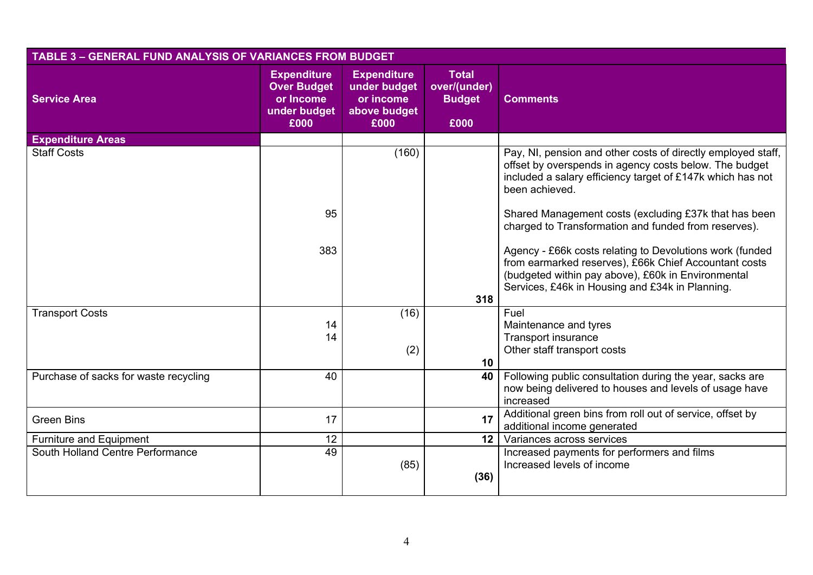| <b>TABLE 3 - GENERAL FUND ANALYSIS OF VARIANCES FROM BUDGET</b> |                                                                               |                                                                         |                                                       |                                                                                                                                                                                                                            |
|-----------------------------------------------------------------|-------------------------------------------------------------------------------|-------------------------------------------------------------------------|-------------------------------------------------------|----------------------------------------------------------------------------------------------------------------------------------------------------------------------------------------------------------------------------|
| <b>Service Area</b>                                             | <b>Expenditure</b><br><b>Over Budget</b><br>or Income<br>under budget<br>£000 | <b>Expenditure</b><br>under budget<br>or income<br>above budget<br>£000 | <b>Total</b><br>over/(under)<br><b>Budget</b><br>£000 | <b>Comments</b>                                                                                                                                                                                                            |
| <b>Expenditure Areas</b>                                        |                                                                               |                                                                         |                                                       |                                                                                                                                                                                                                            |
| <b>Staff Costs</b>                                              |                                                                               | (160)                                                                   |                                                       | Pay, NI, pension and other costs of directly employed staff,<br>offset by overspends in agency costs below. The budget<br>included a salary efficiency target of £147k which has not<br>been achieved.                     |
|                                                                 | 95                                                                            |                                                                         |                                                       | Shared Management costs (excluding £37k that has been<br>charged to Transformation and funded from reserves).                                                                                                              |
|                                                                 | 383                                                                           |                                                                         | 318                                                   | Agency - £66k costs relating to Devolutions work (funded<br>from earmarked reserves), £66k Chief Accountant costs<br>(budgeted within pay above), £60k in Environmental<br>Services, £46k in Housing and £34k in Planning. |
| <b>Transport Costs</b>                                          |                                                                               | (16)                                                                    |                                                       | Fuel                                                                                                                                                                                                                       |
|                                                                 | 14                                                                            |                                                                         |                                                       | Maintenance and tyres                                                                                                                                                                                                      |
|                                                                 | 14                                                                            |                                                                         |                                                       | <b>Transport insurance</b>                                                                                                                                                                                                 |
|                                                                 |                                                                               | (2)                                                                     |                                                       | Other staff transport costs                                                                                                                                                                                                |
|                                                                 |                                                                               |                                                                         | 10                                                    |                                                                                                                                                                                                                            |
| Purchase of sacks for waste recycling                           | 40                                                                            |                                                                         | 40                                                    | Following public consultation during the year, sacks are<br>now being delivered to houses and levels of usage have<br>increased                                                                                            |
| <b>Green Bins</b>                                               | 17                                                                            |                                                                         | 17                                                    | Additional green bins from roll out of service, offset by<br>additional income generated                                                                                                                                   |
| Furniture and Equipment                                         | 12                                                                            |                                                                         | 12 <sup>1</sup>                                       | Variances across services                                                                                                                                                                                                  |
| South Holland Centre Performance                                | 49                                                                            | (85)                                                                    | (36)                                                  | Increased payments for performers and films<br>Increased levels of income                                                                                                                                                  |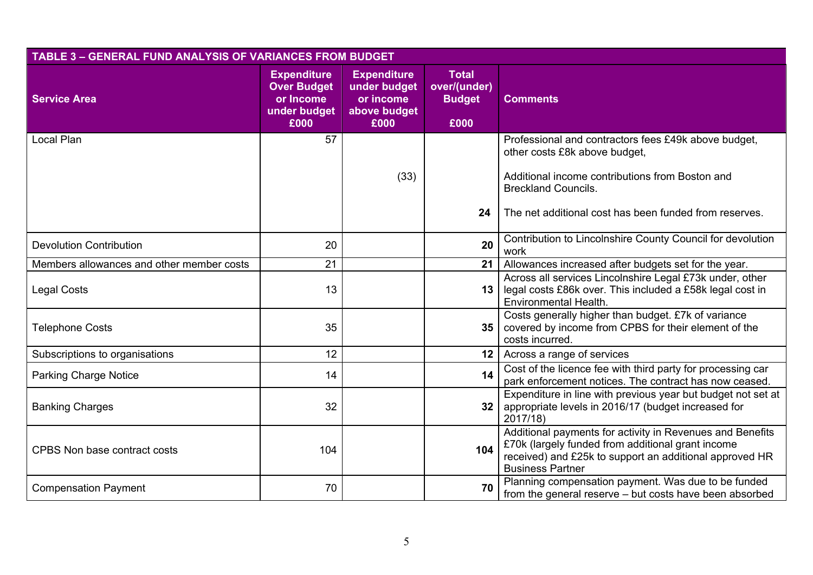|                                           | <b>TABLE 3 - GENERAL FUND ANALYSIS OF VARIANCES FROM BUDGET</b>               |                                                                         |                                                       |                                                                                                                                                                                                      |  |  |  |
|-------------------------------------------|-------------------------------------------------------------------------------|-------------------------------------------------------------------------|-------------------------------------------------------|------------------------------------------------------------------------------------------------------------------------------------------------------------------------------------------------------|--|--|--|
| <b>Service Area</b>                       | <b>Expenditure</b><br><b>Over Budget</b><br>or Income<br>under budget<br>£000 | <b>Expenditure</b><br>under budget<br>or income<br>above budget<br>£000 | <b>Total</b><br>over/(under)<br><b>Budget</b><br>£000 | <b>Comments</b>                                                                                                                                                                                      |  |  |  |
| Local Plan                                | 57                                                                            |                                                                         |                                                       | Professional and contractors fees £49k above budget,<br>other costs £8k above budget,                                                                                                                |  |  |  |
|                                           |                                                                               | (33)                                                                    |                                                       | Additional income contributions from Boston and<br><b>Breckland Councils.</b>                                                                                                                        |  |  |  |
|                                           |                                                                               |                                                                         | 24                                                    | The net additional cost has been funded from reserves.                                                                                                                                               |  |  |  |
| <b>Devolution Contribution</b>            | 20                                                                            |                                                                         | 20                                                    | Contribution to Lincolnshire County Council for devolution<br>work                                                                                                                                   |  |  |  |
| Members allowances and other member costs | 21                                                                            |                                                                         | 21                                                    | Allowances increased after budgets set for the year.                                                                                                                                                 |  |  |  |
| <b>Legal Costs</b>                        | 13                                                                            |                                                                         | 13                                                    | Across all services Lincolnshire Legal £73k under, other<br>legal costs £86k over. This included a £58k legal cost in<br>Environmental Health.                                                       |  |  |  |
| <b>Telephone Costs</b>                    | 35                                                                            |                                                                         | 35 <sub>5</sub>                                       | Costs generally higher than budget. £7k of variance<br>covered by income from CPBS for their element of the<br>costs incurred.                                                                       |  |  |  |
| Subscriptions to organisations            | 12                                                                            |                                                                         | 12 <sup>1</sup>                                       | Across a range of services                                                                                                                                                                           |  |  |  |
| <b>Parking Charge Notice</b>              | 14                                                                            |                                                                         | 14                                                    | Cost of the licence fee with third party for processing car<br>park enforcement notices. The contract has now ceased.                                                                                |  |  |  |
| <b>Banking Charges</b>                    | 32                                                                            |                                                                         | 32 <sub>2</sub>                                       | Expenditure in line with previous year but budget not set at<br>appropriate levels in 2016/17 (budget increased for<br>2017/18)                                                                      |  |  |  |
| CPBS Non base contract costs              | 104                                                                           |                                                                         | 104                                                   | Additional payments for activity in Revenues and Benefits<br>£70k (largely funded from additional grant income<br>received) and £25k to support an additional approved HR<br><b>Business Partner</b> |  |  |  |
| <b>Compensation Payment</b>               | 70                                                                            |                                                                         | 70                                                    | Planning compensation payment. Was due to be funded<br>from the general reserve - but costs have been absorbed                                                                                       |  |  |  |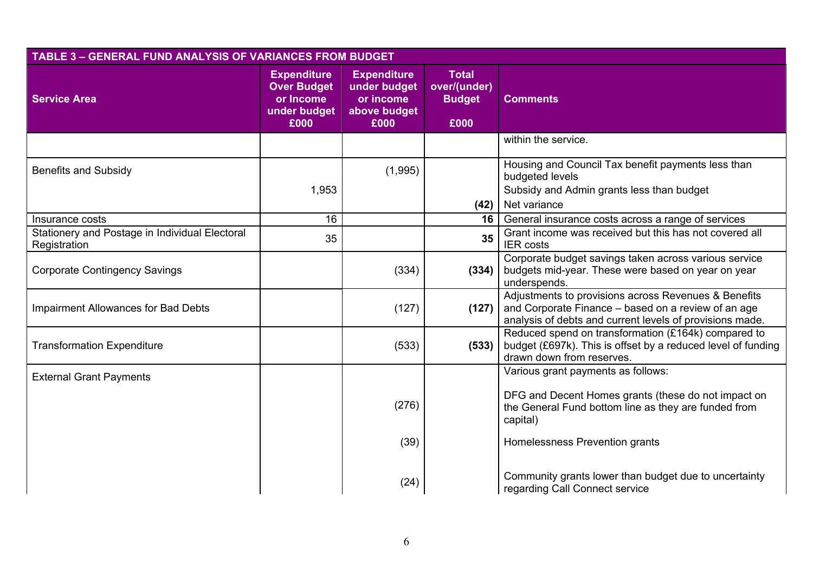|                                                                | <b>TABLE 3 - GENERAL FUND ANALYSIS OF VARIANCES FROM BUDGET</b>               |                                                                         |                                                       |                                                                                                                                                                         |  |  |  |
|----------------------------------------------------------------|-------------------------------------------------------------------------------|-------------------------------------------------------------------------|-------------------------------------------------------|-------------------------------------------------------------------------------------------------------------------------------------------------------------------------|--|--|--|
| <b>Service Area</b>                                            | <b>Expenditure</b><br><b>Over Budget</b><br>or Income<br>under budget<br>£000 | <b>Expenditure</b><br>under budget<br>or income<br>above budget<br>£000 | <b>Total</b><br>over/(under)<br><b>Budget</b><br>£000 | <b>Comments</b>                                                                                                                                                         |  |  |  |
|                                                                |                                                                               |                                                                         |                                                       | within the service.                                                                                                                                                     |  |  |  |
| <b>Benefits and Subsidy</b>                                    | 1,953                                                                         | (1,995)                                                                 | (42)                                                  | Housing and Council Tax benefit payments less than<br>budgeted levels<br>Subsidy and Admin grants less than budget<br>Net variance                                      |  |  |  |
| Insurance costs                                                | 16                                                                            |                                                                         | 16                                                    | General insurance costs across a range of services                                                                                                                      |  |  |  |
| Stationery and Postage in Individual Electoral<br>Registration | 35                                                                            |                                                                         | 35                                                    | Grant income was received but this has not covered all<br><b>IER</b> costs                                                                                              |  |  |  |
| <b>Corporate Contingency Savings</b>                           |                                                                               | (334)                                                                   | (334)                                                 | Corporate budget savings taken across various service<br>budgets mid-year. These were based on year on year<br>underspends.                                             |  |  |  |
| <b>Impairment Allowances for Bad Debts</b>                     |                                                                               | (127)                                                                   | (127)                                                 | Adjustments to provisions across Revenues & Benefits<br>and Corporate Finance - based on a review of an age<br>analysis of debts and current levels of provisions made. |  |  |  |
| <b>Transformation Expenditure</b>                              |                                                                               | (533)                                                                   | (533)                                                 | Reduced spend on transformation (£164k) compared to<br>budget (£697k). This is offset by a reduced level of funding<br>drawn down from reserves.                        |  |  |  |
| <b>External Grant Payments</b>                                 |                                                                               |                                                                         |                                                       | Various grant payments as follows:                                                                                                                                      |  |  |  |
|                                                                |                                                                               | (276)                                                                   |                                                       | DFG and Decent Homes grants (these do not impact on<br>the General Fund bottom line as they are funded from<br>capital)                                                 |  |  |  |
|                                                                |                                                                               | (39)                                                                    |                                                       | Homelessness Prevention grants                                                                                                                                          |  |  |  |
|                                                                |                                                                               | (24)                                                                    |                                                       | Community grants lower than budget due to uncertainty<br>regarding Call Connect service                                                                                 |  |  |  |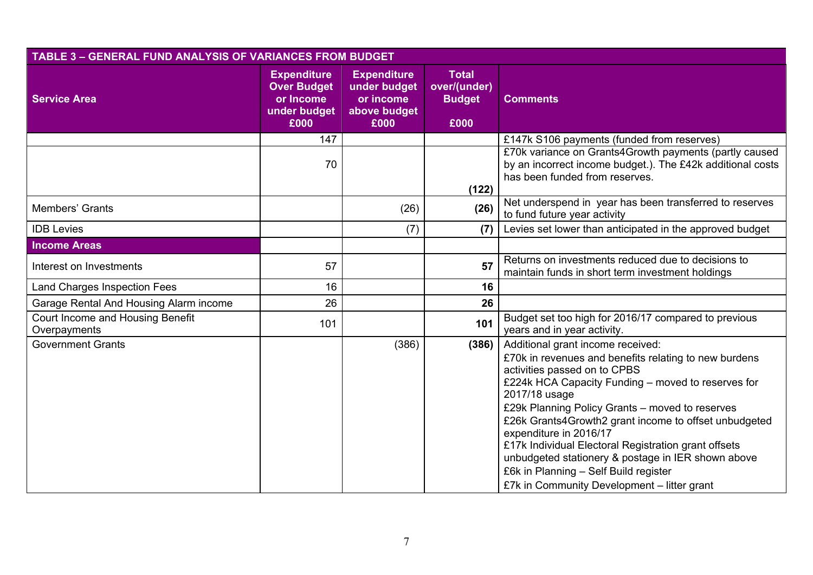| <b>TABLE 3 - GENERAL FUND ANALYSIS OF VARIANCES FROM BUDGET</b> |                                                                               |                                                                         |                                                       |                                                                                                                                                                                                                                                                                                                                                                                                                                                                                                                                               |
|-----------------------------------------------------------------|-------------------------------------------------------------------------------|-------------------------------------------------------------------------|-------------------------------------------------------|-----------------------------------------------------------------------------------------------------------------------------------------------------------------------------------------------------------------------------------------------------------------------------------------------------------------------------------------------------------------------------------------------------------------------------------------------------------------------------------------------------------------------------------------------|
| <b>Service Area</b>                                             | <b>Expenditure</b><br><b>Over Budget</b><br>or Income<br>under budget<br>£000 | <b>Expenditure</b><br>under budget<br>or income<br>above budget<br>£000 | <b>Total</b><br>over/(under)<br><b>Budget</b><br>£000 | <b>Comments</b>                                                                                                                                                                                                                                                                                                                                                                                                                                                                                                                               |
|                                                                 | 147                                                                           |                                                                         |                                                       | £147k S106 payments (funded from reserves)                                                                                                                                                                                                                                                                                                                                                                                                                                                                                                    |
|                                                                 | 70                                                                            |                                                                         | (122)                                                 | £70k variance on Grants4Growth payments (partly caused<br>by an incorrect income budget.). The £42k additional costs<br>has been funded from reserves.                                                                                                                                                                                                                                                                                                                                                                                        |
| Members' Grants                                                 |                                                                               | (26)                                                                    | (26)                                                  | Net underspend in year has been transferred to reserves<br>to fund future year activity                                                                                                                                                                                                                                                                                                                                                                                                                                                       |
| <b>IDB Levies</b>                                               |                                                                               | (7)                                                                     | (7)                                                   | Levies set lower than anticipated in the approved budget                                                                                                                                                                                                                                                                                                                                                                                                                                                                                      |
| <b>Income Areas</b>                                             |                                                                               |                                                                         |                                                       |                                                                                                                                                                                                                                                                                                                                                                                                                                                                                                                                               |
| Interest on Investments                                         | 57                                                                            |                                                                         | 57                                                    | Returns on investments reduced due to decisions to<br>maintain funds in short term investment holdings                                                                                                                                                                                                                                                                                                                                                                                                                                        |
| <b>Land Charges Inspection Fees</b>                             | 16                                                                            |                                                                         | 16                                                    |                                                                                                                                                                                                                                                                                                                                                                                                                                                                                                                                               |
| Garage Rental And Housing Alarm income                          | 26                                                                            |                                                                         | 26                                                    |                                                                                                                                                                                                                                                                                                                                                                                                                                                                                                                                               |
| Court Income and Housing Benefit<br>Overpayments                | 101                                                                           |                                                                         | 101                                                   | Budget set too high for 2016/17 compared to previous<br>years and in year activity.                                                                                                                                                                                                                                                                                                                                                                                                                                                           |
| <b>Government Grants</b>                                        |                                                                               | (386)                                                                   | (386)                                                 | Additional grant income received:<br>£70k in revenues and benefits relating to new burdens<br>activities passed on to CPBS<br>£224k HCA Capacity Funding - moved to reserves for<br>2017/18 usage<br>£29k Planning Policy Grants - moved to reserves<br>£26k Grants4Growth2 grant income to offset unbudgeted<br>expenditure in 2016/17<br>£17k Individual Electoral Registration grant offsets<br>unbudgeted stationery & postage in IER shown above<br>£6k in Planning - Self Build register<br>£7k in Community Development - litter grant |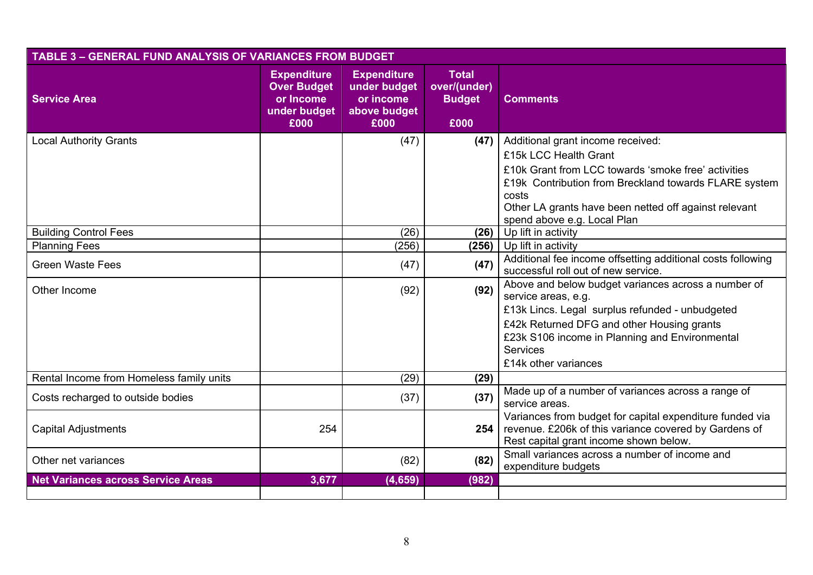| <b>TABLE 3 - GENERAL FUND ANALYSIS OF VARIANCES FROM BUDGET</b> |                                                                               |                                                                         |                                                       |                                                                                                                                                                                                                                                                             |  |  |
|-----------------------------------------------------------------|-------------------------------------------------------------------------------|-------------------------------------------------------------------------|-------------------------------------------------------|-----------------------------------------------------------------------------------------------------------------------------------------------------------------------------------------------------------------------------------------------------------------------------|--|--|
| <b>Service Area</b>                                             | <b>Expenditure</b><br><b>Over Budget</b><br>or Income<br>under budget<br>£000 | <b>Expenditure</b><br>under budget<br>or income<br>above budget<br>£000 | <b>Total</b><br>over/(under)<br><b>Budget</b><br>£000 | <b>Comments</b>                                                                                                                                                                                                                                                             |  |  |
| <b>Local Authority Grants</b>                                   |                                                                               | (47)                                                                    | (47)                                                  | Additional grant income received:<br>£15k LCC Health Grant<br>£10k Grant from LCC towards 'smoke free' activities<br>£19k Contribution from Breckland towards FLARE system<br>costs<br>Other LA grants have been netted off against relevant<br>spend above e.g. Local Plan |  |  |
| <b>Building Control Fees</b>                                    |                                                                               | (26)                                                                    | (26)                                                  | Up lift in activity                                                                                                                                                                                                                                                         |  |  |
| <b>Planning Fees</b>                                            |                                                                               | (256)                                                                   | (256)                                                 | Up lift in activity                                                                                                                                                                                                                                                         |  |  |
| <b>Green Waste Fees</b>                                         |                                                                               | (47)                                                                    | (47)                                                  | Additional fee income offsetting additional costs following<br>successful roll out of new service.                                                                                                                                                                          |  |  |
| Other Income                                                    |                                                                               | (92)                                                                    | (92)                                                  | Above and below budget variances across a number of<br>service areas, e.g.<br>£13k Lincs. Legal surplus refunded - unbudgeted<br>£42k Returned DFG and other Housing grants<br>£23k S106 income in Planning and Environmental<br><b>Services</b><br>£14k other variances    |  |  |
| Rental Income from Homeless family units                        |                                                                               | (29)                                                                    | (29)                                                  |                                                                                                                                                                                                                                                                             |  |  |
| Costs recharged to outside bodies                               |                                                                               | (37)                                                                    | (37)                                                  | Made up of a number of variances across a range of<br>service areas.                                                                                                                                                                                                        |  |  |
| <b>Capital Adjustments</b>                                      | 254                                                                           |                                                                         | 254                                                   | Variances from budget for capital expenditure funded via<br>revenue. £206k of this variance covered by Gardens of<br>Rest capital grant income shown below.                                                                                                                 |  |  |
| Other net variances                                             |                                                                               | (82)                                                                    | (82)                                                  | Small variances across a number of income and<br>expenditure budgets                                                                                                                                                                                                        |  |  |
| <b>Net Variances across Service Areas</b>                       | 3,677                                                                         | (4, 659)                                                                | (982)                                                 |                                                                                                                                                                                                                                                                             |  |  |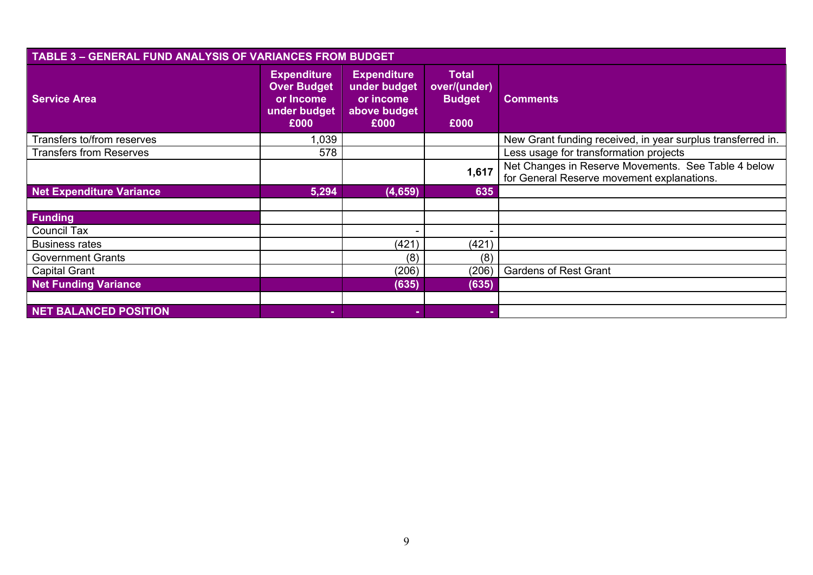| <b>TABLE 3 - GENERAL FUND ANALYSIS OF VARIANCES FROM BUDGET</b> |                                                                               |                                                                         |                                                       |                                                                                                   |  |  |  |
|-----------------------------------------------------------------|-------------------------------------------------------------------------------|-------------------------------------------------------------------------|-------------------------------------------------------|---------------------------------------------------------------------------------------------------|--|--|--|
| <b>Service Area</b>                                             | <b>Expenditure</b><br><b>Over Budget</b><br>or Income<br>under budget<br>£000 | <b>Expenditure</b><br>under budget<br>or income<br>above budget<br>£000 | <b>Total</b><br>over/(under)<br><b>Budget</b><br>£000 | <b>Comments</b>                                                                                   |  |  |  |
| Transfers to/from reserves                                      | 1,039                                                                         |                                                                         |                                                       | New Grant funding received, in year surplus transferred in.                                       |  |  |  |
| <b>Transfers from Reserves</b>                                  | 578                                                                           |                                                                         |                                                       | Less usage for transformation projects                                                            |  |  |  |
|                                                                 |                                                                               |                                                                         | 1,617                                                 | Net Changes in Reserve Movements. See Table 4 below<br>for General Reserve movement explanations. |  |  |  |
| Net Expenditure Variance                                        | 5,294                                                                         | (4,659)                                                                 | 635                                                   |                                                                                                   |  |  |  |
|                                                                 |                                                                               |                                                                         |                                                       |                                                                                                   |  |  |  |
| <b>Funding</b>                                                  |                                                                               |                                                                         |                                                       |                                                                                                   |  |  |  |
| <b>Council Tax</b>                                              |                                                                               |                                                                         |                                                       |                                                                                                   |  |  |  |
| <b>Business rates</b>                                           |                                                                               | (421)                                                                   | (421)                                                 |                                                                                                   |  |  |  |
| <b>Government Grants</b>                                        |                                                                               | (8)                                                                     | (8)                                                   |                                                                                                   |  |  |  |
| <b>Capital Grant</b>                                            |                                                                               | (206)                                                                   | (206)                                                 | <b>Gardens of Rest Grant</b>                                                                      |  |  |  |
| <b>Net Funding Variance</b>                                     |                                                                               | (635)                                                                   | (635)                                                 |                                                                                                   |  |  |  |
|                                                                 |                                                                               |                                                                         |                                                       |                                                                                                   |  |  |  |
| NET BALANCED POSITION                                           | ٠                                                                             |                                                                         |                                                       |                                                                                                   |  |  |  |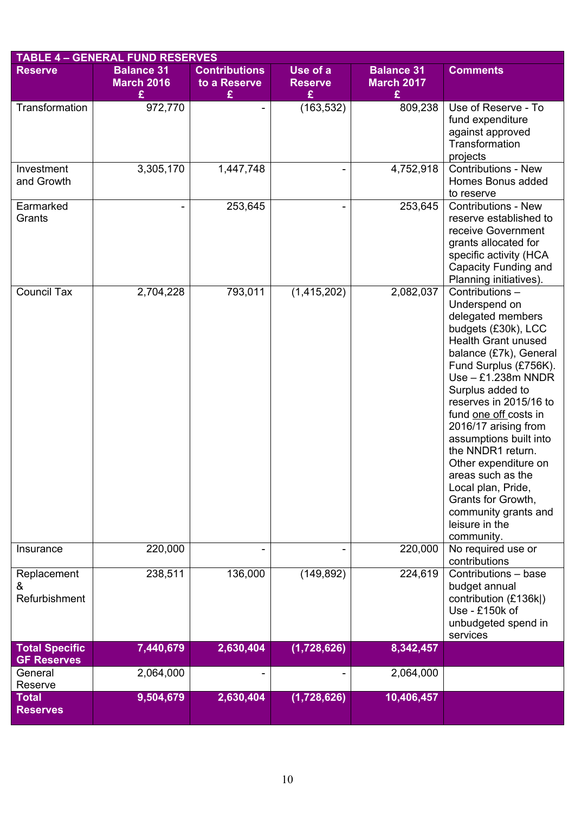|                                             | <b>TABLE 4 - GENERAL FUND RESERVES</b>      |                                           |                                 |                                             |                                                                                                                                                                                                                                                                                                                                                                                                                                                                                     |
|---------------------------------------------|---------------------------------------------|-------------------------------------------|---------------------------------|---------------------------------------------|-------------------------------------------------------------------------------------------------------------------------------------------------------------------------------------------------------------------------------------------------------------------------------------------------------------------------------------------------------------------------------------------------------------------------------------------------------------------------------------|
| <b>Reserve</b>                              | <b>Balance 31</b><br><b>March 2016</b><br>£ | <b>Contributions</b><br>to a Reserve<br>£ | Use of a<br><b>Reserve</b><br>£ | <b>Balance 31</b><br><b>March 2017</b><br>£ | <b>Comments</b>                                                                                                                                                                                                                                                                                                                                                                                                                                                                     |
| Transformation                              | 972,770                                     |                                           | (163, 532)                      | 809,238                                     | Use of Reserve - To<br>fund expenditure<br>against approved<br>Transformation<br>projects                                                                                                                                                                                                                                                                                                                                                                                           |
| Investment<br>and Growth                    | 3,305,170                                   | 1,447,748                                 |                                 | 4,752,918                                   | Contributions - New<br>Homes Bonus added<br>to reserve                                                                                                                                                                                                                                                                                                                                                                                                                              |
| Earmarked<br>Grants                         |                                             | 253,645                                   |                                 | 253,645                                     | <b>Contributions - New</b><br>reserve established to<br>receive Government<br>grants allocated for<br>specific activity (HCA<br>Capacity Funding and<br>Planning initiatives).                                                                                                                                                                                                                                                                                                      |
| <b>Council Tax</b>                          | 2,704,228                                   | 793,011                                   | (1,415,202)                     | 2,082,037                                   | Contributions-<br>Underspend on<br>delegated members<br>budgets (£30k), LCC<br><b>Health Grant unused</b><br>balance (£7k), General<br>Fund Surplus (£756K).<br>$Use - £1.238m NNDR$<br>Surplus added to<br>reserves in 2015/16 to<br>fund one off costs in<br>2016/17 arising from<br>assumptions built into<br>the NNDR1 return.<br>Other expenditure on<br>areas such as the<br>Local plan, Pride,<br>Grants for Growth,<br>community grants and<br>leisure in the<br>community. |
| Insurance                                   | 220,000                                     |                                           |                                 | 220,000                                     | No required use or<br>contributions                                                                                                                                                                                                                                                                                                                                                                                                                                                 |
| Replacement<br>&<br>Refurbishment           | 238,511                                     | 136,000                                   | (149, 892)                      | 224,619                                     | Contributions - base<br>budget annual<br>contribution (£136k )<br>Use - £150k of<br>unbudgeted spend in<br>services                                                                                                                                                                                                                                                                                                                                                                 |
| <b>Total Specific</b><br><b>GF Reserves</b> | 7,440,679                                   | 2,630,404                                 | (1,728,626)                     | 8,342,457                                   |                                                                                                                                                                                                                                                                                                                                                                                                                                                                                     |
| General<br>Reserve                          | 2,064,000                                   |                                           |                                 | 2,064,000                                   |                                                                                                                                                                                                                                                                                                                                                                                                                                                                                     |
| <b>Total</b><br><b>Reserves</b>             | 9,504,679                                   | 2,630,404                                 | (1,728,626)                     | 10,406,457                                  |                                                                                                                                                                                                                                                                                                                                                                                                                                                                                     |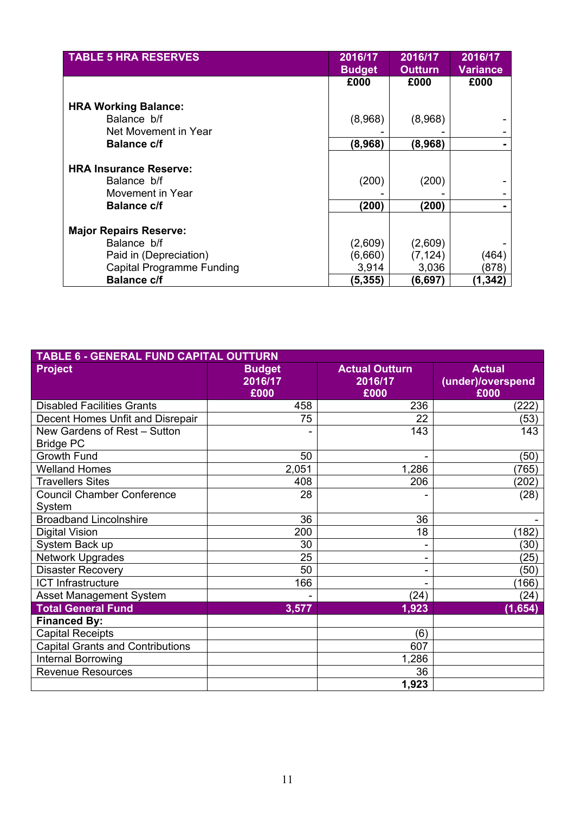| <b>TABLE 5 HRA RESERVES</b>      | 2016/17<br><b>Budget</b> | 2016/17<br><b>Outturn</b> | 2016/17<br>Variance |
|----------------------------------|--------------------------|---------------------------|---------------------|
|                                  | £000                     | £000                      | £000                |
| <b>HRA Working Balance:</b>      |                          |                           |                     |
| Balance b/f                      | (8,968)                  | (8,968)                   |                     |
| Net Movement in Year             |                          |                           |                     |
| <b>Balance c/f</b>               | (8,968)                  | (8,968)                   |                     |
|                                  |                          |                           |                     |
| <b>HRA Insurance Reserve:</b>    |                          |                           |                     |
| Balance b/f                      | (200)                    | (200)                     |                     |
| Movement in Year                 |                          |                           |                     |
| <b>Balance c/f</b>               | (200)                    | (200)                     |                     |
|                                  |                          |                           |                     |
| <b>Major Repairs Reserve:</b>    |                          |                           |                     |
| Balance b/f                      | (2,609)                  | (2,609)                   |                     |
| Paid in (Depreciation)           | (6,660)                  | (7, 124)                  | (464)               |
| <b>Capital Programme Funding</b> | 3,914                    | 3,036                     | (878)               |
| <b>Balance c/f</b>               | (5, 355)                 | (6,697)                   | (1,342)             |

| <b>TABLE 6 - GENERAL FUND CAPITAL OUTTURN</b> |               |                       |                   |  |  |  |  |  |
|-----------------------------------------------|---------------|-----------------------|-------------------|--|--|--|--|--|
| <b>Project</b>                                | <b>Budget</b> | <b>Actual Outturn</b> | <b>Actual</b>     |  |  |  |  |  |
|                                               | 2016/17       | 2016/17               | (under)/overspend |  |  |  |  |  |
|                                               | £000          | £000                  | £000              |  |  |  |  |  |
| <b>Disabled Facilities Grants</b>             | 458           | 236                   | (222)             |  |  |  |  |  |
| Decent Homes Unfit and Disrepair              | 75            | 22                    | (53)              |  |  |  |  |  |
| New Gardens of Rest - Sutton                  |               | 143                   | 143               |  |  |  |  |  |
| <b>Bridge PC</b>                              |               |                       |                   |  |  |  |  |  |
| <b>Growth Fund</b>                            | 50            |                       | (50)              |  |  |  |  |  |
| <b>Welland Homes</b>                          | 2,051         | 1,286                 | (765)             |  |  |  |  |  |
| <b>Travellers Sites</b>                       | 408           | 206                   | (202)             |  |  |  |  |  |
| <b>Council Chamber Conference</b>             | 28            |                       | (28)              |  |  |  |  |  |
| System                                        |               |                       |                   |  |  |  |  |  |
| <b>Broadband Lincolnshire</b>                 | 36            | 36                    |                   |  |  |  |  |  |
| <b>Digital Vision</b>                         | 200           | 18                    | (182)             |  |  |  |  |  |
| System Back up                                | 30            |                       | (30)              |  |  |  |  |  |
| <b>Network Upgrades</b>                       | 25            |                       | (25)              |  |  |  |  |  |
| <b>Disaster Recovery</b>                      | 50            |                       | (50)              |  |  |  |  |  |
| <b>ICT Infrastructure</b>                     | 166           |                       | (166)             |  |  |  |  |  |
| <b>Asset Management System</b>                |               | (24)                  | (24)              |  |  |  |  |  |
| <b>Total General Fund</b>                     | 3,577         | 1,923                 | (1,654)           |  |  |  |  |  |
| <b>Financed By:</b>                           |               |                       |                   |  |  |  |  |  |
| <b>Capital Receipts</b>                       |               | (6)                   |                   |  |  |  |  |  |
| <b>Capital Grants and Contributions</b>       |               | 607                   |                   |  |  |  |  |  |
| <b>Internal Borrowing</b>                     |               | 1,286                 |                   |  |  |  |  |  |
| <b>Revenue Resources</b>                      |               | 36                    |                   |  |  |  |  |  |
|                                               |               | 1,923                 |                   |  |  |  |  |  |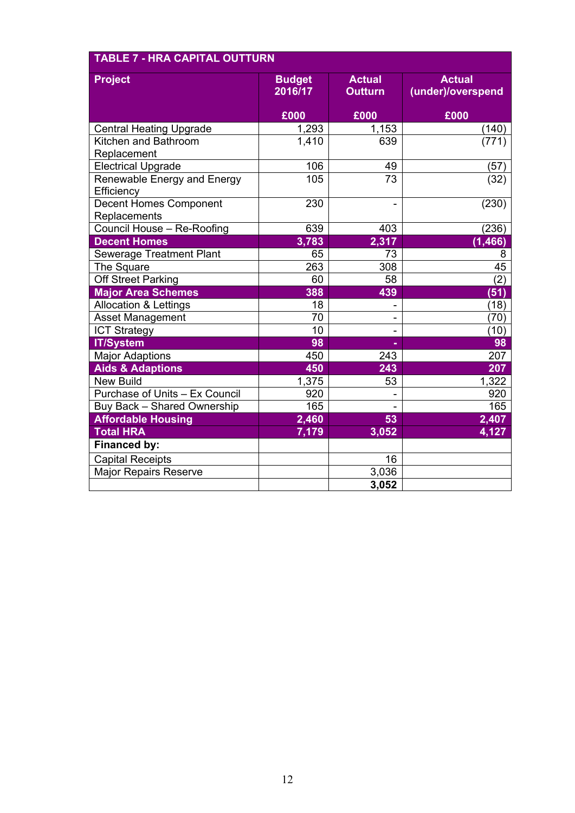| <b>Project</b>                   | <b>Budget</b> | <b>Actual</b>  | <b>Actual</b>     |  |  |
|----------------------------------|---------------|----------------|-------------------|--|--|
|                                  | 2016/17       | <b>Outturn</b> | (under)/overspend |  |  |
|                                  | £000          | £000           | £000              |  |  |
| <b>Central Heating Upgrade</b>   | 1,293         | 1,153          | (140)             |  |  |
| Kitchen and Bathroom             | 1,410         | 639            | (771)             |  |  |
| Replacement                      |               |                |                   |  |  |
| <b>Electrical Upgrade</b>        | 106           | 49             | (57)              |  |  |
| Renewable Energy and Energy      | 105           | 73             | (32)              |  |  |
| Efficiency                       |               |                |                   |  |  |
| <b>Decent Homes Component</b>    | 230           |                | (230)             |  |  |
| Replacements                     |               |                |                   |  |  |
| Council House - Re-Roofing       | 639           | 403            | (236)             |  |  |
| <b>Decent Homes</b>              | 3,783         | 2,317          | (1, 466)          |  |  |
| <b>Sewerage Treatment Plant</b>  | 65            | 73             | 8                 |  |  |
| The Square                       | 263           | 308            | 45                |  |  |
| <b>Off Street Parking</b>        | 60            | 58             | (2)               |  |  |
| <b>Major Area Schemes</b>        | 388           | 439            | (51)              |  |  |
| <b>Allocation &amp; Lettings</b> | 18            | -              | (18)              |  |  |
| <b>Asset Management</b>          | 70            |                | (70)              |  |  |
| <b>ICT Strategy</b>              | 10            | -              | (10)              |  |  |
| <b>IT/System</b>                 | 98            |                | 98                |  |  |
| <b>Major Adaptions</b>           | 450           | 243            | 207               |  |  |
| <b>Aids &amp; Adaptions</b>      | 450           | 243            | 207               |  |  |
| <b>New Build</b>                 | 1,375         | 53             | 1,322             |  |  |
| Purchase of Units - Ex Council   | 920           |                | 920               |  |  |
| Buy Back - Shared Ownership      | 165           |                | 165               |  |  |
| <b>Affordable Housing</b>        | 2,460         | 53             | 2,407             |  |  |
| <b>Total HRA</b>                 | 7,179         | 3,052          | 4,127             |  |  |
| <b>Financed by:</b>              |               |                |                   |  |  |
| <b>Capital Receipts</b>          |               | 16             |                   |  |  |
| <b>Major Repairs Reserve</b>     |               | 3,036          |                   |  |  |
|                                  |               | 3,052          |                   |  |  |

#### **TABLE 7 - HRA CAPITAL OUTTURN**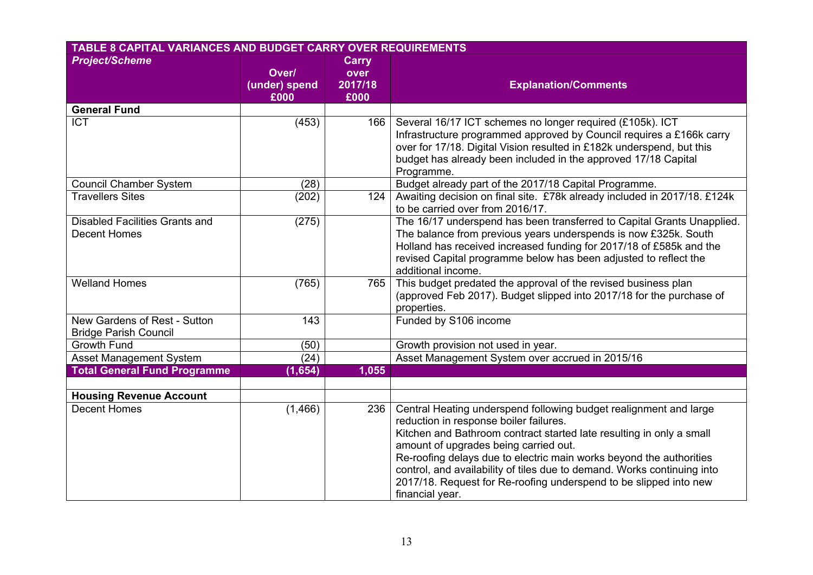| TABLE 8 CAPITAL VARIANCES AND BUDGET CARRY OVER REQUIREMENTS |                                |                                         |                                                                                                                                                                                                                                                                                                                                                                                                                                                                        |  |
|--------------------------------------------------------------|--------------------------------|-----------------------------------------|------------------------------------------------------------------------------------------------------------------------------------------------------------------------------------------------------------------------------------------------------------------------------------------------------------------------------------------------------------------------------------------------------------------------------------------------------------------------|--|
| <b>Project/Scheme</b>                                        | Over/<br>(under) spend<br>£000 | <b>Carry</b><br>over<br>2017/18<br>£000 | <b>Explanation/Comments</b>                                                                                                                                                                                                                                                                                                                                                                                                                                            |  |
| <b>General Fund</b>                                          |                                |                                         |                                                                                                                                                                                                                                                                                                                                                                                                                                                                        |  |
| <b>ICT</b>                                                   | (453)                          | 166                                     | Several 16/17 ICT schemes no longer required (£105k). ICT<br>Infrastructure programmed approved by Council requires a £166k carry<br>over for 17/18. Digital Vision resulted in £182k underspend, but this<br>budget has already been included in the approved 17/18 Capital<br>Programme.                                                                                                                                                                             |  |
| <b>Council Chamber System</b>                                | (28)                           |                                         | Budget already part of the 2017/18 Capital Programme.                                                                                                                                                                                                                                                                                                                                                                                                                  |  |
| <b>Travellers Sites</b>                                      | (202)                          | 124                                     | Awaiting decision on final site. £78k already included in 2017/18. £124k<br>to be carried over from 2016/17.                                                                                                                                                                                                                                                                                                                                                           |  |
| <b>Disabled Facilities Grants and</b><br><b>Decent Homes</b> | (275)                          |                                         | The 16/17 underspend has been transferred to Capital Grants Unapplied.<br>The balance from previous years underspends is now £325k. South<br>Holland has received increased funding for 2017/18 of £585k and the<br>revised Capital programme below has been adjusted to reflect the<br>additional income.                                                                                                                                                             |  |
| <b>Welland Homes</b>                                         | (765)                          | 765                                     | This budget predated the approval of the revised business plan<br>(approved Feb 2017). Budget slipped into 2017/18 for the purchase of<br>properties.                                                                                                                                                                                                                                                                                                                  |  |
| New Gardens of Rest - Sutton<br><b>Bridge Parish Council</b> | 143                            |                                         | Funded by S106 income                                                                                                                                                                                                                                                                                                                                                                                                                                                  |  |
| <b>Growth Fund</b>                                           | (50)                           |                                         | Growth provision not used in year.                                                                                                                                                                                                                                                                                                                                                                                                                                     |  |
| Asset Management System                                      | (24)                           |                                         | Asset Management System over accrued in 2015/16                                                                                                                                                                                                                                                                                                                                                                                                                        |  |
| <b>Total General Fund Programme</b>                          | (1,654)                        | 1,055                                   |                                                                                                                                                                                                                                                                                                                                                                                                                                                                        |  |
|                                                              |                                |                                         |                                                                                                                                                                                                                                                                                                                                                                                                                                                                        |  |
| <b>Housing Revenue Account</b>                               |                                |                                         |                                                                                                                                                                                                                                                                                                                                                                                                                                                                        |  |
| <b>Decent Homes</b>                                          | (1, 466)                       | 236                                     | Central Heating underspend following budget realignment and large<br>reduction in response boiler failures.<br>Kitchen and Bathroom contract started late resulting in only a small<br>amount of upgrades being carried out.<br>Re-roofing delays due to electric main works beyond the authorities<br>control, and availability of tiles due to demand. Works continuing into<br>2017/18. Request for Re-roofing underspend to be slipped into new<br>financial year. |  |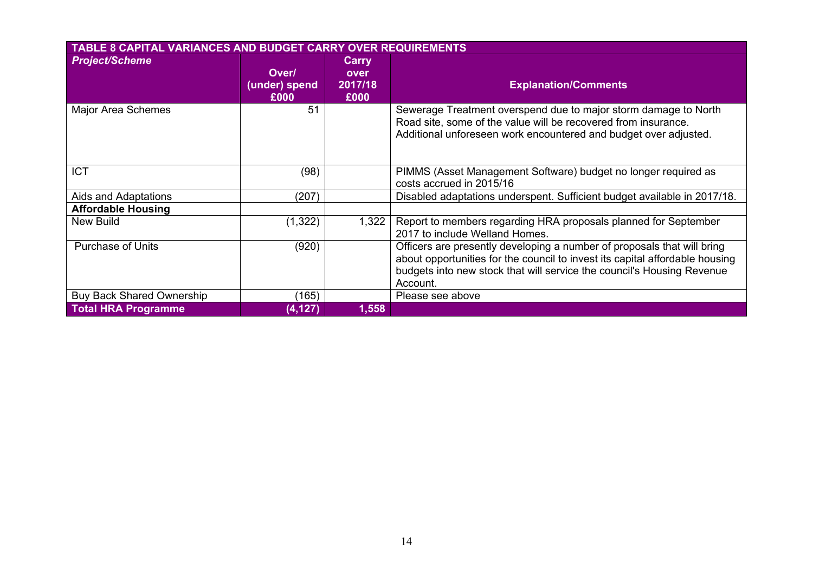| <b>TABLE 8 CAPITAL VARIANCES AND BUDGET CARRY OVER REQUIREMENTS</b> |                                |                                  |                                                                                                                                                                                                                                               |  |
|---------------------------------------------------------------------|--------------------------------|----------------------------------|-----------------------------------------------------------------------------------------------------------------------------------------------------------------------------------------------------------------------------------------------|--|
| <b>Project/Scheme</b>                                               | Over/<br>(under) spend<br>£000 | Carry<br>over<br>2017/18<br>£000 | <b>Explanation/Comments</b>                                                                                                                                                                                                                   |  |
| Major Area Schemes                                                  | 51                             |                                  | Sewerage Treatment overspend due to major storm damage to North<br>Road site, some of the value will be recovered from insurance.<br>Additional unforeseen work encountered and budget over adjusted.                                         |  |
| <b>ICT</b>                                                          | (98)                           |                                  | PIMMS (Asset Management Software) budget no longer required as<br>costs accrued in 2015/16                                                                                                                                                    |  |
| Aids and Adaptations                                                | (207)                          |                                  | Disabled adaptations underspent. Sufficient budget available in 2017/18.                                                                                                                                                                      |  |
| <b>Affordable Housing</b>                                           |                                |                                  |                                                                                                                                                                                                                                               |  |
| <b>New Build</b>                                                    | (1, 322)                       | 1,322                            | Report to members regarding HRA proposals planned for September<br>2017 to include Welland Homes.                                                                                                                                             |  |
| <b>Purchase of Units</b>                                            | (920)                          |                                  | Officers are presently developing a number of proposals that will bring<br>about opportunities for the council to invest its capital affordable housing<br>budgets into new stock that will service the council's Housing Revenue<br>Account. |  |
| <b>Buy Back Shared Ownership</b>                                    | (165)                          |                                  | Please see above                                                                                                                                                                                                                              |  |
| <b>Total HRA Programme</b>                                          | (4, 127)                       | 1,558                            |                                                                                                                                                                                                                                               |  |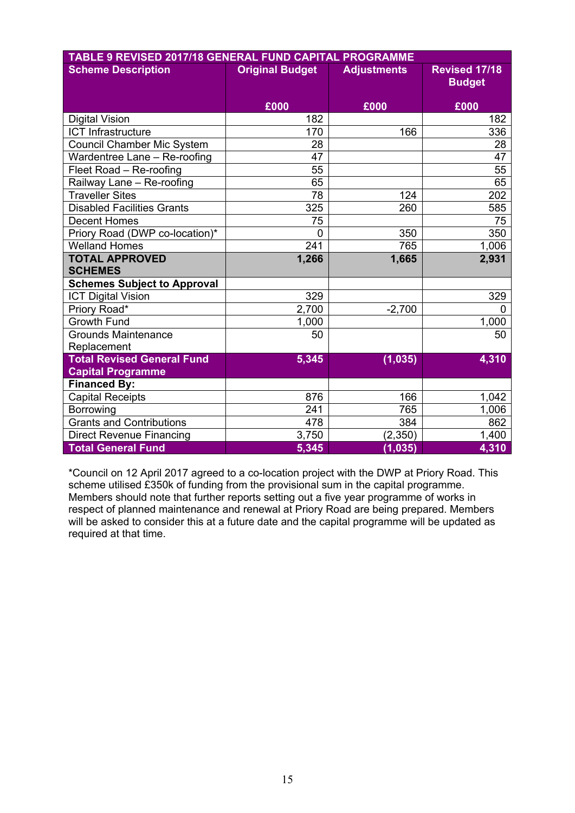| TABLE 9 REVISED 2017/18 GENERAL FUND CAPITAL PROGRAMME |                                              |          |                      |  |  |
|--------------------------------------------------------|----------------------------------------------|----------|----------------------|--|--|
| <b>Scheme Description</b>                              | <b>Original Budget</b><br><b>Adjustments</b> |          | <b>Revised 17/18</b> |  |  |
|                                                        |                                              |          | <b>Budget</b>        |  |  |
|                                                        | £000                                         | £000     | £000                 |  |  |
| <b>Digital Vision</b>                                  | 182                                          |          | 182                  |  |  |
| <b>ICT Infrastructure</b>                              | 170                                          | 166      | 336                  |  |  |
| <b>Council Chamber Mic System</b>                      | 28                                           |          | 28                   |  |  |
| Wardentree Lane - Re-roofing                           | 47                                           |          | 47                   |  |  |
| Fleet Road - Re-roofing                                | 55                                           |          | 55                   |  |  |
| Railway Lane - Re-roofing                              | 65                                           |          | 65                   |  |  |
| <b>Traveller Sites</b>                                 | 78                                           | 124      | 202                  |  |  |
| <b>Disabled Facilities Grants</b>                      | 325                                          | 260      | 585                  |  |  |
| <b>Decent Homes</b>                                    | 75                                           |          | 75                   |  |  |
| Priory Road (DWP co-location)*                         | $\mathbf 0$                                  | 350      | 350                  |  |  |
| <b>Welland Homes</b>                                   | 241                                          | 765      | 1,006                |  |  |
| <b>TOTAL APPROVED</b>                                  | 1,266                                        | 1,665    | 2,931                |  |  |
| <b>SCHEMES</b>                                         |                                              |          |                      |  |  |
| <b>Schemes Subject to Approval</b>                     |                                              |          |                      |  |  |
| <b>ICT Digital Vision</b>                              | 329                                          |          | 329                  |  |  |
| Priory Road*                                           | 2,700                                        | $-2,700$ | 0                    |  |  |
| <b>Growth Fund</b>                                     | 1,000                                        |          | 1,000                |  |  |
| <b>Grounds Maintenance</b>                             | 50                                           |          | 50                   |  |  |
| Replacement                                            |                                              |          |                      |  |  |
| <b>Total Revised General Fund</b>                      | 5,345                                        | (1, 035) | 4,310                |  |  |
| <b>Capital Programme</b>                               |                                              |          |                      |  |  |
| <b>Financed By:</b>                                    |                                              |          |                      |  |  |
| <b>Capital Receipts</b>                                | 876                                          | 166      | 1,042                |  |  |
| Borrowing                                              | 241                                          | 765      | 1,006                |  |  |
| <b>Grants and Contributions</b>                        | 478                                          | 384      | 862                  |  |  |
| <b>Direct Revenue Financing</b>                        | 3,750                                        | (2, 350) | 1,400                |  |  |
| <b>Total General Fund</b>                              | 5,345                                        | (1, 035) | 4,310                |  |  |

\*Council on 12 April 2017 agreed to a co-location project with the DWP at Priory Road. This scheme utilised £350k of funding from the provisional sum in the capital programme. Members should note that further reports setting out a five year programme of works in respect of planned maintenance and renewal at Priory Road are being prepared. Members will be asked to consider this at a future date and the capital programme will be updated as required at that time.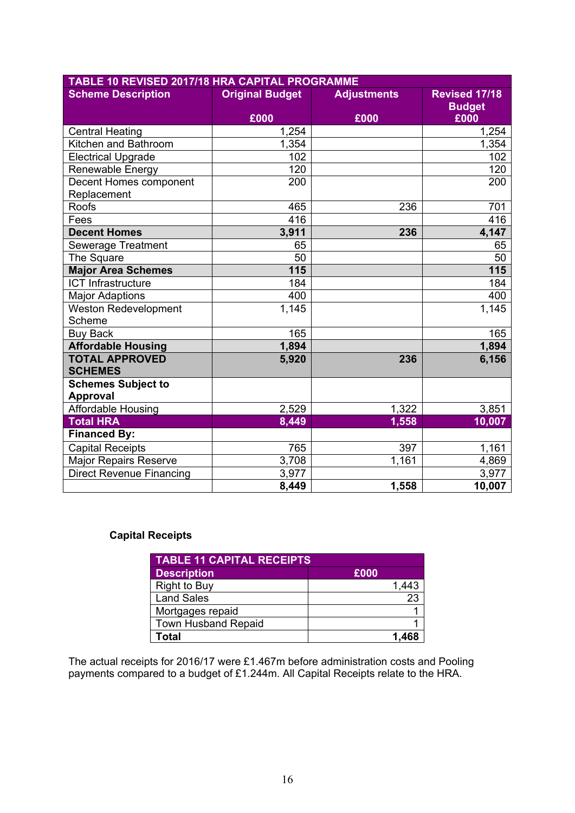| TABLE 10 REVISED 2017/18 HRA CAPITAL PROGRAMME |                        |                    |                                       |  |  |  |
|------------------------------------------------|------------------------|--------------------|---------------------------------------|--|--|--|
| <b>Scheme Description</b>                      | <b>Original Budget</b> | <b>Adjustments</b> | <b>Revised 17/18</b><br><b>Budget</b> |  |  |  |
|                                                | £000                   | £000               | £000                                  |  |  |  |
| <b>Central Heating</b>                         | 1,254                  |                    | 1,254                                 |  |  |  |
| Kitchen and Bathroom                           | 1,354                  |                    | 1,354                                 |  |  |  |
| <b>Electrical Upgrade</b>                      | 102                    |                    | 102                                   |  |  |  |
| Renewable Energy                               | 120                    |                    | 120                                   |  |  |  |
| Decent Homes component                         | 200                    |                    | 200                                   |  |  |  |
| Replacement                                    |                        |                    |                                       |  |  |  |
| <b>Roofs</b>                                   | 465                    | 236                | 701                                   |  |  |  |
| Fees                                           | 416                    |                    | 416                                   |  |  |  |
| <b>Decent Homes</b>                            | 3,911                  | 236                | 4,147                                 |  |  |  |
| <b>Sewerage Treatment</b>                      | 65                     |                    | 65                                    |  |  |  |
| The Square                                     | 50                     |                    | 50                                    |  |  |  |
| <b>Major Area Schemes</b>                      | 115                    |                    | 115                                   |  |  |  |
| <b>ICT Infrastructure</b>                      | 184                    |                    | 184                                   |  |  |  |
| <b>Major Adaptions</b>                         | 400                    |                    | 400                                   |  |  |  |
| <b>Weston Redevelopment</b><br>Scheme          | 1,145                  |                    | 1,145                                 |  |  |  |
| <b>Buy Back</b>                                | 165                    |                    | 165                                   |  |  |  |
| <b>Affordable Housing</b>                      | 1,894                  |                    | 1,894                                 |  |  |  |
| <b>TOTAL APPROVED</b><br><b>SCHEMES</b>        | 5,920                  | 236                | 6,156                                 |  |  |  |
|                                                |                        |                    |                                       |  |  |  |
| <b>Schemes Subject to</b><br><b>Approval</b>   |                        |                    |                                       |  |  |  |
| Affordable Housing                             | 2,529                  | 1,322              | 3,851                                 |  |  |  |
| <b>Total HRA</b>                               | 8,449                  | 1,558              | 10,007                                |  |  |  |
| <b>Financed By:</b>                            |                        |                    |                                       |  |  |  |
| <b>Capital Receipts</b>                        | 765                    | 397                | 1,161                                 |  |  |  |
| <b>Major Repairs Reserve</b>                   | 3,708                  | 1,161              | 4,869                                 |  |  |  |
| <b>Direct Revenue Financing</b>                | 3,977                  |                    | 3,977                                 |  |  |  |
|                                                | 8,449                  | 1,558              | 10,007                                |  |  |  |

#### **Capital Receipts**

| <b>TABLE 11 CAPITAL RECEIPTS.</b> |       |  |  |
|-----------------------------------|-------|--|--|
| <b>Description</b>                | £000  |  |  |
| <b>Right to Buy</b>               | 1,443 |  |  |
| <b>Land Sales</b>                 | 23    |  |  |
| Mortgages repaid                  |       |  |  |
| <b>Town Husband Repaid</b>        |       |  |  |
| Total                             |       |  |  |

The actual receipts for 2016/17 were £1.467m before administration costs and Pooling payments compared to a budget of £1.244m. All Capital Receipts relate to the HRA.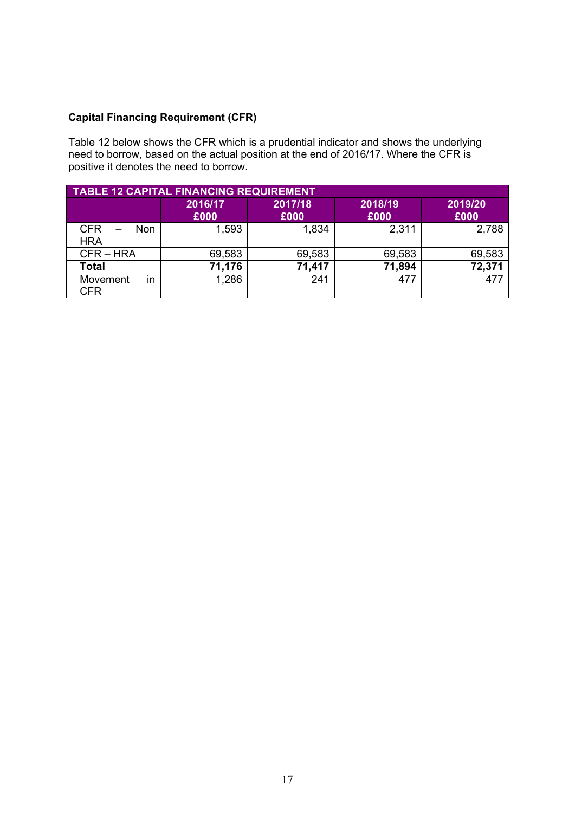#### **Capital Financing Requirement (CFR)**

Table 12 below shows the CFR which is a prudential indicator and shows the underlying need to borrow, based on the actual position at the end of 2016/17. Where the CFR is positive it denotes the need to borrow.

| <b>TABLE 12 CAPITAL FINANCING REQUIREMENT</b> |                 |                 |                 |                 |  |  |
|-----------------------------------------------|-----------------|-----------------|-----------------|-----------------|--|--|
|                                               | 2016/17<br>£000 | 2017/18<br>£000 | 2018/19<br>£000 | 2019/20<br>£000 |  |  |
| <b>CFR</b><br>Non<br><b>HRA</b>               | 1,593           | 1,834           | 2,311           | 2,788           |  |  |
| $CFR - HRA$                                   | 69,583          | 69,583          | 69,583          | 69,583          |  |  |
| <b>Total</b>                                  | 71,176          | 71,417          | 71,894          | 72,371          |  |  |
| in<br>Movement<br><b>CFR</b>                  | 1,286           | 241             | 477             | 477             |  |  |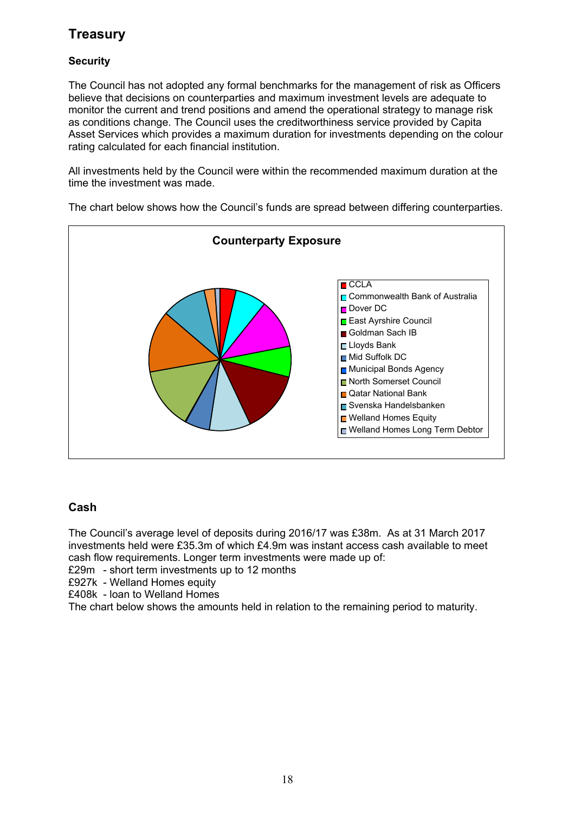# **Treasury**

#### **Security**

The Council has not adopted any formal benchmarks for the management of risk as Officers believe that decisions on counterparties and maximum investment levels are adequate to monitor the current and trend positions and amend the operational strategy to manage risk as conditions change. The Council uses the creditworthiness service provided by Capita Asset Services which provides a maximum duration for investments depending on the colour rating calculated for each financial institution.

All investments held by the Council were within the recommended maximum duration at the time the investment was made.

**n**CCLA Commonwealth Bank of Australia Dover DC East Ayrshire Council Goldman Sach IB Lloyds Bank ■ Mid Suffolk DC Municipal Bonds Agency North Somerset Council Qatar National Bank Svenska Handelsbanken ■ Welland Homes Equity ■ Welland Homes Long Term Debtor **Counterparty Exposure**

The chart below shows how the Council's funds are spread between differing counterparties.

### **Cash**

The Council's average level of deposits during 2016/17 was £38m. As at 31 March 2017 investments held were £35.3m of which £4.9m was instant access cash available to meet cash flow requirements. Longer term investments were made up of:

£29m - short term investments up to 12 months

£927k - Welland Homes equity

£408k - loan to Welland Homes

The chart below shows the amounts held in relation to the remaining period to maturity.